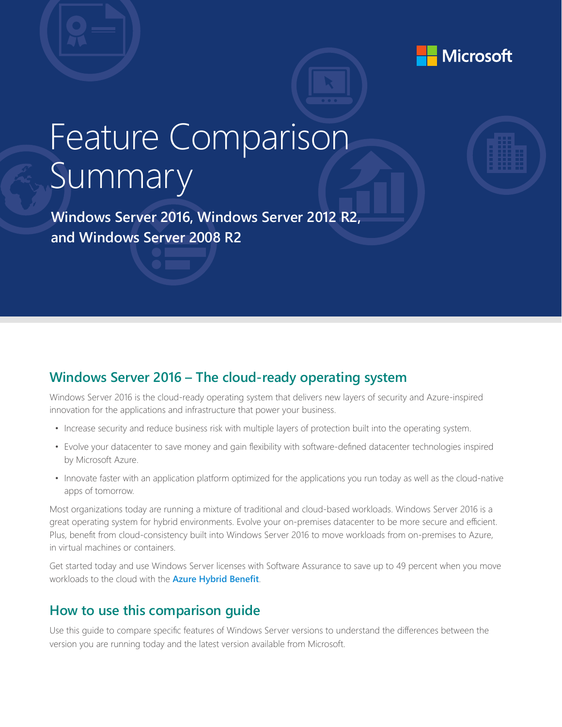

## Feature Comparison Summary

 **Windows Server 2016, Windows Server 2012 R2, and Windows Server 2008 R2**

## **Windows Server 2016 – The cloud-ready operating system**

Windows Server 2016 is the cloud-ready operating system that delivers new layers of security and Azure-inspired innovation for the applications and infrastructure that power your business.

- Increase security and reduce business risk with multiple layers of protection built into the operating system.
- Evolve your datacenter to save money and gain flexibility with software-defined datacenter technologies inspired by Microsoft Azure.
- Innovate faster with an application platform optimized for the applications you run today as well as the cloud-native apps of tomorrow.

Most organizations today are running a mixture of traditional and cloud-based workloads. Windows Server 2016 is a great operating system for hybrid environments. Evolve your on-premises datacenter to be more secure and efficient. Plus, benefit from cloud-consistency built into Windows Server 2016 to move workloads from on-premises to Azure, in virtual machines or containers.

Get started today and use Windows Server licenses with Software Assurance to save up to 49 percent when you move workloads to the cloud with the **[Azure Hybrid Benefit](http://azure.microsoft.com/en-us/pricing/hybrid-benefit)**.

## **How to use this comparison guide**

Use this guide to compare specific features of Windows Server versions to understand the differences between the version you are running today and the latest version available from Microsoft.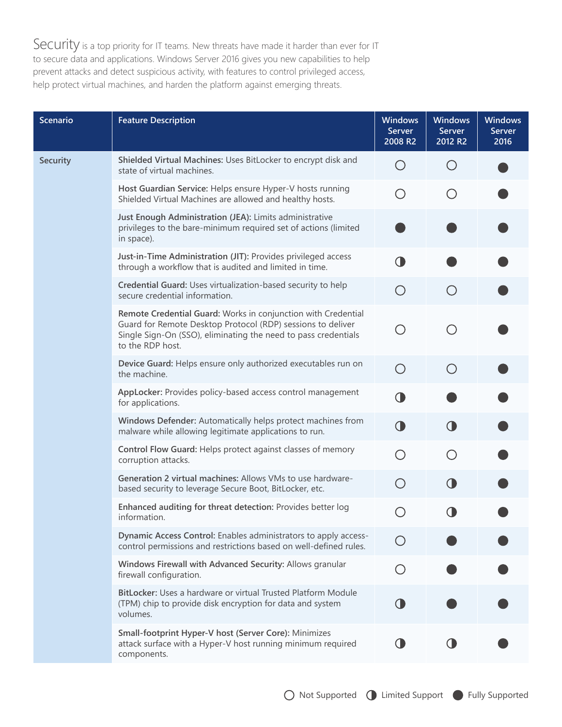Security is a top priority for IT teams. New threats have made it harder than ever for IT to secure data and applications. Windows Server 2016 gives you new capabilities to help prevent attacks and detect suspicious activity, with features to control privileged access, help protect virtual machines, and harden the platform against emerging threats.

| <b>Scenario</b> | <b>Feature Description</b>                                                                                                                                                                                         | <b>Windows</b><br><b>Server</b><br>2008 R2  | <b>Windows</b><br>Server<br>2012 R2         | <b>Windows</b><br><b>Server</b><br>2016 |
|-----------------|--------------------------------------------------------------------------------------------------------------------------------------------------------------------------------------------------------------------|---------------------------------------------|---------------------------------------------|-----------------------------------------|
| <b>Security</b> | Shielded Virtual Machines: Uses BitLocker to encrypt disk and<br>state of virtual machines.                                                                                                                        | O                                           | ( )                                         |                                         |
|                 | Host Guardian Service: Helps ensure Hyper-V hosts running<br>Shielded Virtual Machines are allowed and healthy hosts.                                                                                              |                                             | $\bigcirc$                                  |                                         |
|                 | Just Enough Administration (JEA): Limits administrative<br>privileges to the bare-minimum required set of actions (limited<br>in space).                                                                           |                                             |                                             |                                         |
|                 | Just-in-Time Administration (JIT): Provides privileged access<br>through a workflow that is audited and limited in time.                                                                                           | $\bigcirc$                                  |                                             |                                         |
|                 | Credential Guard: Uses virtualization-based security to help<br>secure credential information.                                                                                                                     | $\left(\begin{array}{c} \end{array}\right)$ | $\left(\begin{array}{c} \end{array}\right)$ |                                         |
|                 | Remote Credential Guard: Works in conjunction with Credential<br>Guard for Remote Desktop Protocol (RDP) sessions to deliver<br>Single Sign-On (SSO), eliminating the need to pass credentials<br>to the RDP host. |                                             | ◯                                           |                                         |
|                 | Device Guard: Helps ensure only authorized executables run on<br>the machine.                                                                                                                                      | ◯                                           | ◯                                           |                                         |
|                 | AppLocker: Provides policy-based access control management<br>for applications.                                                                                                                                    | 0                                           |                                             |                                         |
|                 | Windows Defender: Automatically helps protect machines from<br>malware while allowing legitimate applications to run.                                                                                              | $\bigcirc$                                  | $\bigcirc$                                  |                                         |
|                 | Control Flow Guard: Helps protect against classes of memory<br>corruption attacks.                                                                                                                                 | ( )                                         | $\bigcirc$                                  |                                         |
|                 | Generation 2 virtual machines: Allows VMs to use hardware-<br>based security to leverage Secure Boot, BitLocker, etc.                                                                                              |                                             | <b>O</b>                                    |                                         |
|                 | Enhanced auditing for threat detection: Provides better log<br>information.                                                                                                                                        |                                             |                                             |                                         |
|                 | Dynamic Access Control: Enables administrators to apply access-<br>control permissions and restrictions based on well-defined rules.                                                                               |                                             |                                             |                                         |
|                 | Windows Firewall with Advanced Security: Allows granular<br>firewall configuration.                                                                                                                                |                                             |                                             |                                         |
|                 | BitLocker: Uses a hardware or virtual Trusted Platform Module<br>(TPM) chip to provide disk encryption for data and system<br>volumes.                                                                             |                                             |                                             |                                         |
|                 | Small-footprint Hyper-V host (Server Core): Minimizes<br>attack surface with a Hyper-V host running minimum required<br>components.                                                                                |                                             |                                             |                                         |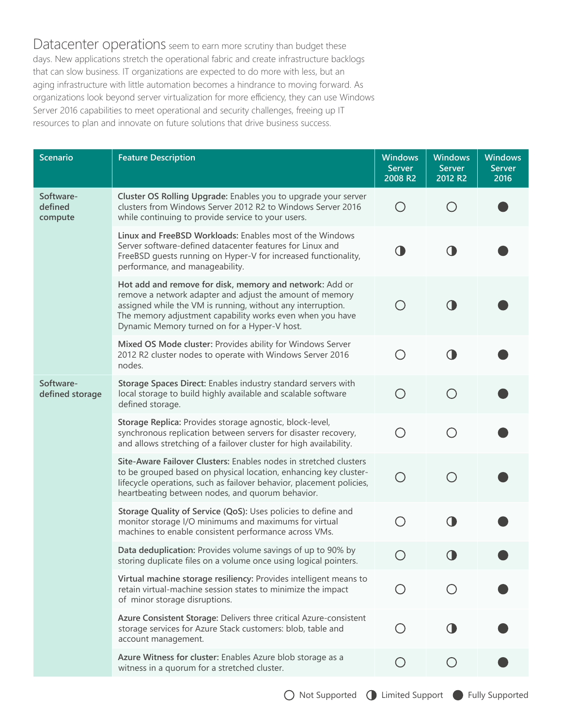Datacenter operations seem to earn more scrutiny than budget these days. New applications stretch the operational fabric and create infrastructure backlogs that can slow business. IT organizations are expected to do more with less, but an aging infrastructure with little automation becomes a hindrance to moving forward. As organizations look beyond server virtualization for more efficiency, they can use Windows Server 2016 capabilities to meet operational and security challenges, freeing up IT resources to plan and innovate on future solutions that drive business success.

| <b>Scenario</b>                 | <b>Feature Description</b>                                                                                                                                                                                                                                                                      | <b>Windows</b><br><b>Server</b><br>2008 R2    | <b>Windows</b><br><b>Server</b><br>2012 R2 | <b>Windows</b><br><b>Server</b><br>2016 |
|---------------------------------|-------------------------------------------------------------------------------------------------------------------------------------------------------------------------------------------------------------------------------------------------------------------------------------------------|-----------------------------------------------|--------------------------------------------|-----------------------------------------|
| Software-<br>defined<br>compute | Cluster OS Rolling Upgrade: Enables you to upgrade your server<br>clusters from Windows Server 2012 R2 to Windows Server 2016<br>while continuing to provide service to your users.                                                                                                             | O                                             |                                            |                                         |
|                                 | Linux and FreeBSD Workloads: Enables most of the Windows<br>Server software-defined datacenter features for Linux and<br>FreeBSD guests running on Hyper-V for increased functionality,<br>performance, and manageability.                                                                      | 0                                             |                                            |                                         |
|                                 | Hot add and remove for disk, memory and network: Add or<br>remove a network adapter and adjust the amount of memory<br>assigned while the VM is running, without any interruption.<br>The memory adjustment capability works even when you have<br>Dynamic Memory turned on for a Hyper-V host. | ◯                                             |                                            |                                         |
|                                 | Mixed OS Mode cluster: Provides ability for Windows Server<br>2012 R2 cluster nodes to operate with Windows Server 2016<br>nodes.                                                                                                                                                               | $\bigcirc$                                    |                                            |                                         |
| Software-<br>defined storage    | Storage Spaces Direct: Enables industry standard servers with<br>local storage to build highly available and scalable software<br>defined storage.                                                                                                                                              | $\bigcirc$                                    |                                            |                                         |
|                                 | Storage Replica: Provides storage agnostic, block-level,<br>synchronous replication between servers for disaster recovery,<br>and allows stretching of a failover cluster for high availability.                                                                                                | $\bigcirc$                                    |                                            |                                         |
|                                 | Site-Aware Failover Clusters: Enables nodes in stretched clusters<br>to be grouped based on physical location, enhancing key cluster-<br>lifecycle operations, such as failover behavior, placement policies,<br>heartbeating between nodes, and quorum behavior.                               |                                               |                                            |                                         |
|                                 | Storage Quality of Service (QoS): Uses policies to define and<br>monitor storage I/O minimums and maximums for virtual<br>machines to enable consistent performance across VMs.                                                                                                                 | $\left(\begin{array}{c} 1 \end{array}\right)$ |                                            |                                         |
|                                 | Data deduplication: Provides volume savings of up to 90% by<br>storing duplicate files on a volume once using logical pointers.                                                                                                                                                                 | $\left(\begin{array}{c} \end{array}\right)$   |                                            |                                         |
|                                 | Virtual machine storage resiliency: Provides intelligent means to<br>retain virtual-machine session states to minimize the impact<br>of minor storage disruptions.                                                                                                                              |                                               |                                            |                                         |
|                                 | Azure Consistent Storage: Delivers three critical Azure-consistent<br>storage services for Azure Stack customers: blob, table and<br>account management.                                                                                                                                        |                                               |                                            |                                         |
|                                 | Azure Witness for cluster: Enables Azure blob storage as a<br>witness in a quorum for a stretched cluster.                                                                                                                                                                                      | $\left( \ \right)$                            |                                            |                                         |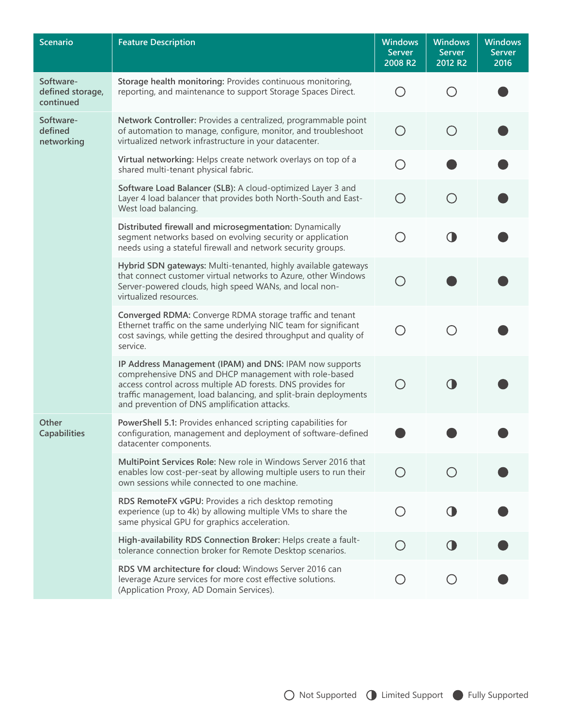| <b>Scenario</b>                            | <b>Feature Description</b>                                                                                                                                                                                                                                                                         | <b>Windows</b><br><b>Server</b><br>2008 R2  | <b>Windows</b><br><b>Server</b><br>2012 R2 | <b>Windows</b><br><b>Server</b><br>2016 |
|--------------------------------------------|----------------------------------------------------------------------------------------------------------------------------------------------------------------------------------------------------------------------------------------------------------------------------------------------------|---------------------------------------------|--------------------------------------------|-----------------------------------------|
| Software-<br>defined storage,<br>continued | Storage health monitoring: Provides continuous monitoring,<br>reporting, and maintenance to support Storage Spaces Direct.                                                                                                                                                                         | ◯                                           | ( )                                        |                                         |
| Software-<br>defined<br>networking         | Network Controller: Provides a centralized, programmable point<br>of automation to manage, configure, monitor, and troubleshoot<br>virtualized network infrastructure in your datacenter.                                                                                                          | $\left(\begin{array}{c} \end{array}\right)$ | ◯                                          |                                         |
|                                            | Virtual networking: Helps create network overlays on top of a<br>shared multi-tenant physical fabric.                                                                                                                                                                                              | ( )                                         |                                            |                                         |
|                                            | Software Load Balancer (SLB): A cloud-optimized Layer 3 and<br>Layer 4 load balancer that provides both North-South and East-<br>West load balancing.                                                                                                                                              |                                             |                                            |                                         |
|                                            | Distributed firewall and microsegmentation: Dynamically<br>segment networks based on evolving security or application<br>needs using a stateful firewall and network security groups.                                                                                                              | ◯                                           | <b>0</b>                                   |                                         |
|                                            | Hybrid SDN gateways: Multi-tenanted, highly available gateways<br>that connect customer virtual networks to Azure, other Windows<br>Server-powered clouds, high speed WANs, and local non-<br>virtualized resources.                                                                               | ∩                                           |                                            |                                         |
|                                            | Converged RDMA: Converge RDMA storage traffic and tenant<br>Ethernet traffic on the same underlying NIC team for significant<br>cost savings, while getting the desired throughput and quality of<br>service.                                                                                      |                                             |                                            |                                         |
|                                            | IP Address Management (IPAM) and DNS: IPAM now supports<br>comprehensive DNS and DHCP management with role-based<br>access control across multiple AD forests. DNS provides for<br>traffic management, load balancing, and split-brain deployments<br>and prevention of DNS amplification attacks. |                                             |                                            |                                         |
| Other<br><b>Capabilities</b>               | PowerShell 5.1: Provides enhanced scripting capabilities for<br>configuration, management and deployment of software-defined<br>datacenter components.                                                                                                                                             |                                             |                                            |                                         |
|                                            | MultiPoint Services Role: New role in Windows Server 2016 that<br>enables low cost-per-seat by allowing multiple users to run their<br>own sessions while connected to one machine.                                                                                                                |                                             |                                            |                                         |
|                                            | RDS RemoteFX vGPU: Provides a rich desktop remoting<br>experience (up to 4k) by allowing multiple VMs to share the<br>same physical GPU for graphics acceleration.                                                                                                                                 |                                             |                                            |                                         |
|                                            | High-availability RDS Connection Broker: Helps create a fault-<br>tolerance connection broker for Remote Desktop scenarios.                                                                                                                                                                        |                                             |                                            |                                         |
|                                            | RDS VM architecture for cloud: Windows Server 2016 can<br>leverage Azure services for more cost effective solutions.<br>(Application Proxy, AD Domain Services).                                                                                                                                   |                                             |                                            |                                         |